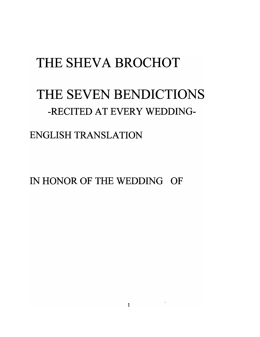# THE SHEVA BROCHOT

## THE SEVEN BENDICTIONS -RECITED AT EVERY WEDDING-

#### ENGLISH TRANSLATION

IN HONOR OF THE WEDDING OF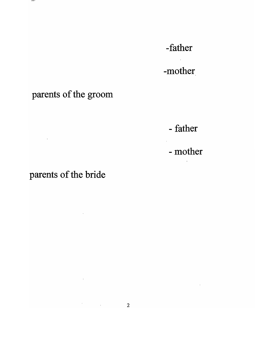-mother

### parents of the groom

- father

- mother

parents of the bride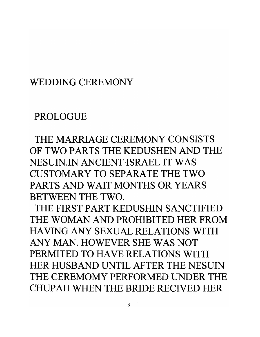#### WEDDING CEREMONY

### PROLOGUE

THE MARRIAGE CEREMONY CONSISTS OF TWO PARTS THE KEDUSHEN AND THE NESUIN.IN ANCIENT ISRAEL IT WAS CUSTOMARY TO SEPARATE THE TWO PARTS AND WAIT MONTHS OR YEARS BETWEEN THE TWO.

THE FIRST PART KEDUSHIN SANCTIFIED THE WOMAN AND PROHIBITED HER FROM HAVING ANY SEXUAL RELATIONS WITH ANY MAN. HOWEVER SHE WAS NOT PERMITED TO HAVE RELATIONS WITH HER HUSBAND UNTIL AFTER THE NESUIN THE CEREMOMY PERFORMED UNDER THE CHUP AH WHEN THE BRIDE RECIVED HER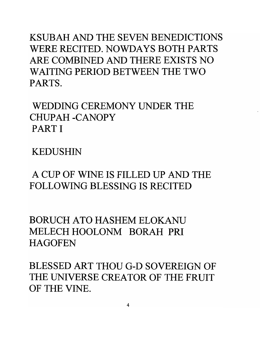KSUBAH AND THE SEVEN BENEDICTIONS WERE RECITED. NOWDAYS BOTH PARTS ARE COMBINED AND THERE EXISTS NO WAITING PERIOD BETWEEN THE TWO PARTS.

WEDDING CEREMONY UNDER THE CHUPAH -CANOPY PART I

KEDUSHIN

A CUP OF WINE **IS** FILLED UP AND THE FOLLOWING BLESSING **IS** RECITED

BORUCH ATO HASHEM ELOKANU MELECH HOOLONM BORAH PRI **HAGOFEN** 

BLESSED ART THOU G-D SOVEREIGN OF THE UNIVERSE CREATOR OF THE FRUIT OF THE VINE.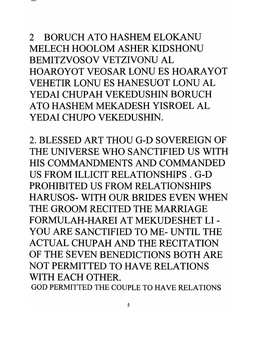2 BORUCH ATO HASHEM ELOKANU MELECH HOOLOM ASHER KIDSHONU BEMITZVOSOV VETZIVONU AL HOAROYOT VEOSAR LONU ES HOARAYOT VEHETIR LONU ES HANESUOT LONU AL YEDAI CHUPAH VEKEDUSHIN BORUCH ATO HASHEM MEKADESH YISROEL AL YEDAI CHUPO VEKEDUSHIN.

2. BLESSED ART THOU G-D SOVEREIGN OF THE UNIVERSE WHO SANCTIFIED US WITH HIS COMMANDMENTS AND COMMANDED US FROM ILLICIT RELATIONSHIPS. G-D PROHIBITED US FROM RELATIONSHIPS HARUSOS- WITH OUR BRIDES EVEN WHEN THE GROOM RECITED THE MARRIAGE FORMULAH-HAREI AT MEKUDESHET LI - YOU ARE SANCTIFIED TO ME- UNTIL THE ACTUAL CHUPAH AND THE RECITATION OF THE SEVEN BENEDICTIONS BOTH ARE NOT PERMITTED TO HAVE RELATIONS WITH EACH OTHER.

GOD PERMITTED THE COUPLE TO HAVE RELATIONS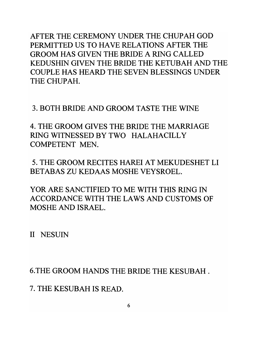AFTER THE CEREMONY UNDER THE CHUPAH GOD PERMITTED US TO HAVE RELATIONS AFTER THE GROOM HAS GIVEN THE BRIDE A RING CALLED KEDUSHIN GIVEN THE BRIDE THE KETUBAH AND THE COUPLE HAS HEARD THE SEVEN BLESSINGS UNDER THE CHUPAH.

3. BOTH BRIDE AND GROOM TASTE THE WINE

4. THE GROOM GIVES THE BRIDE THE MARRIAGE RING WITNESSED BY TWO HALAHACILL Y COMPETENT MEN.

5. THE GROOM RECITES HAREI AT MEKUDESHET LI BETABAS ZU KEDAAS MOSHE VEYSROEL.

YOR ARE SANCTIFIED TO ME WITH THIS RING IN ACCORDANCE WITH THE LAWS AND CUSTOMS OF MOSHE AND ISRAEL.

II NESUIN

6.THE GROOM HANDS THE BRIDE THE KESUBAH .

7. THE KESUBAH IS READ.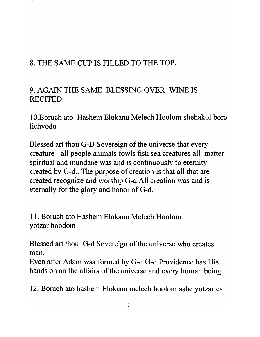#### 8. THE SAME CUP IS FILLED TO THE TOP.

9. AGAIN THE SAME BLESSING OVER WINE IS RECITED.

10.Boruch ato Hashem Elokanu Melech Hoolom shehakol boro lichvodo

Blessed art thou G-D Sovereign of the universe that every creature - all people animals fowls fish sea creatures all matter spiritual and mundane was and is continuously to eternity created by G-d.. The purpose of creation is that all that are created recognize and worship G-d All creation was and is eternally for the glory and honor of G-d.

11. Boruch ato Hashem Elokanu Melech Hoolom yotzar hoodom

Blessed art thou G-d Sovereign of the universe who creates man.

Even after Adam wsa formed by G-d G-d Providence has His hands on on the affairs of the universe and every human being.

12. Boruch ato hashem Elokanu melech hoolom ashe yotzar es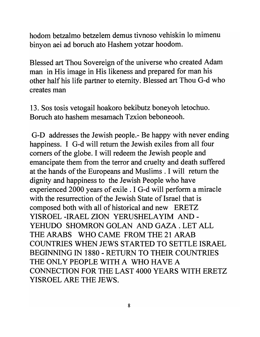hodom betzalmo betzelem demus tivnoso vehiskin 10 mimenu binyon aei ad boruch ato Hashem yotzar hoodom.

Blessed art Thou Sovereign of the universe who created Adam man in His image in His likeness and prepared for man his other half his life partner to eternity. Blessed art Thou G-d who creates man

13. Sos tosis vetogail hoakoro bekibutz boneyoh letochuo. Boruch ato hashem mesamach Tzxion beboneooh.

G-D addresses the Jewish people.- Be happy with never ending happiness. I G-d will return the Jewish exiles from all four comers of the globe. I will redeem the Jewish people and emancipate them from the terror and cruelty and death suffered at the hands of the Europeans and Muslims . I will return the dignity and happiness to the Jewish People who have experienced 2000 years of exile . I G-d will perform a miracle with the resurrection of the Jewish State of Israel that is composed both with all of historical and new ERETZ YISROEL -IRAEL ZION YERUSHELA YIM AND-YEHUDO SHOMRON GOLAN AND GAZA . LET ALL THE ARABS WHO CAME FROM THE 21 ARAB COUNTRIES WHEN JEWS STARTED TO SETTLE ISRAEL BEGINNING IN 1880 - RETURN TO THEIR COUNTRIES THE ONLY PEOPLE WITH A WHO HAVE A CONNECTION FOR THE LAST 4000 YEARS WITH ERETZ YISROEL ARE THE JEWS.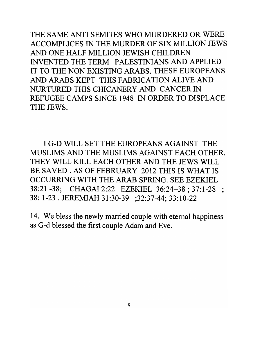THE SAME ANTI SEMITES WHO MURDERED OR WERE ACCOMPLICES IN THE MURDER OF SIX MILLION JEWS AND ONE HALF MILLION JEWISH CHILDREN INVENTED THE TERM PALESTINIANS AND APPLIED IT TO THE NON EXISTING ARABS. THESE EUROPEANS AND ARABS KEPT THIS FABRICATION ALIVE AND NURTURED THIS CHICANERY AND CANCER IN REFUGEE CAMPS SINCE 1948 IN ORDER TO DISPLACE THE JEWS.

I G-D WILL SET THE EUROPEANS AGAINST THE MUSLIMS AND THE MUSLIMS AGAINST EACH OTHER. THEY WILL KILL EACH OTHER AND THE JEWS WILL BE SAVED. AS OF FEBRUARY 2012 THIS IS WHAT IS OCCURRING WITH THE ARAB SPRING. SEE EZEKIEL 38:21 -38; CHAGAI2:22 EZEKIEL 36:24-38; 37:1-28 ; 38: 1-23 . JEREMIAH 31:30-39 ;32:37-44; 33:10-22

14. We bless the newly married couple with eternal happiness as G-d blessed the first couple Adam and Eve.